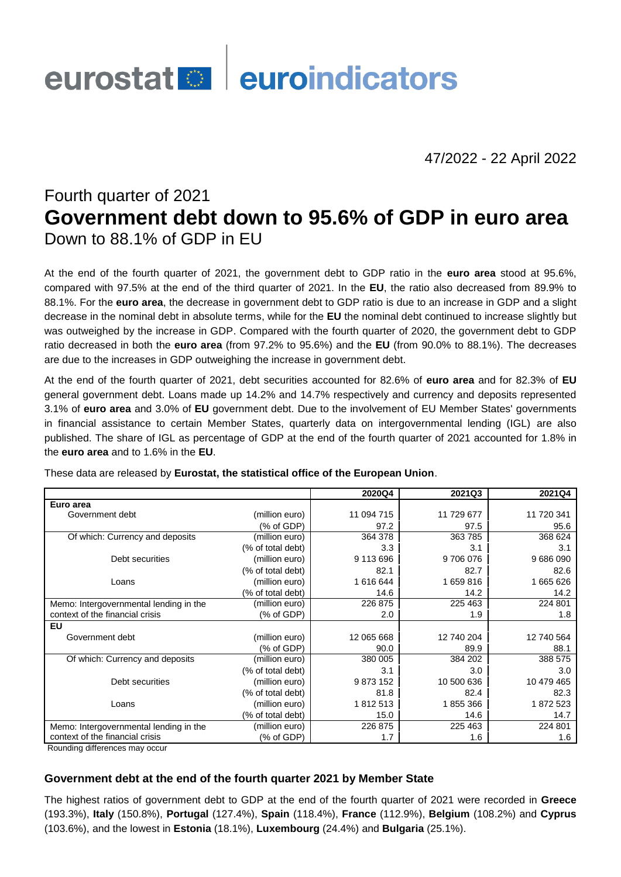# eurostat **de la euroindicators**

47/2022 - 22 April 2022

# Fourth quarter of 2021 **Government debt down to 95.6% of GDP in euro area** Down to 88.1% of GDP in EU

At the end of the fourth quarter of 2021, the government debt to GDP ratio in the **euro area** stood at 95.6%, compared with 97.5% at the end of the third quarter of 2021. In the **EU**, the ratio also decreased from 89.9% to 88.1%. For the **euro area**, the decrease in government debt to GDP ratio is due to an increase in GDP and a slight decrease in the nominal debt in absolute terms, while for the **EU** the nominal debt continued to increase slightly but was outweighed by the increase in GDP. Compared with the fourth quarter of 2020, the government debt to GDP ratio decreased in both the **euro area** (from 97.2% to 95.6%) and the **EU** (from 90.0% to 88.1%). The decreases are due to the increases in GDP outweighing the increase in government debt.

At the end of the fourth quarter of 2021, debt securities accounted for 82.6% of **euro area** and for 82.3% of **EU** general government debt. Loans made up 14.2% and 14.7% respectively and currency and deposits represented 3.1% of **euro area** and 3.0% of **EU** government debt. Due to the involvement of EU Member States' governments in financial assistance to certain Member States, quarterly data on intergovernmental lending (IGL) are also published. The share of IGL as percentage of GDP at the end of the fourth quarter of 2021 accounted for 1.8% in the **euro area** and to 1.6% in the **EU**.

|                                        |                       | 2020Q4     | 2021Q3     | 2021Q4     |
|----------------------------------------|-----------------------|------------|------------|------------|
| Euro area                              |                       |            |            |            |
| Government debt                        | (million euro)        | 11 094 715 | 11 729 677 | 11 720 341 |
|                                        | (% of GDP)            | 97.2       | 97.5       | 95.6       |
| Of which: Currency and deposits        | (million euro)        | 364 378    | 363 785    | 368 624    |
|                                        | (% of total debt)     | 3.3        | 3.1        | 3.1        |
| Debt securities                        | (million euro)        | 9 113 696  | 9706076    | 9686090    |
|                                        | (% of total debt)     | 82.1       | 82.7       | 82.6       |
| Loans                                  | (million euro)        | 1616644    | 1659816    | 1 665 626  |
|                                        | (% of total debt)     | 14.6       | 14.2       | 14.2       |
| Memo: Intergovernmental lending in the | (million euro)        | 226 875    | 225 463    | 224 801    |
| context of the financial crisis        | (% of GDP)            | 2.0        | 1.9        | 1.8        |
| <b>EU</b>                              |                       |            |            |            |
| Government debt                        | (million euro)        | 12 065 668 | 12 740 204 | 12 740 564 |
|                                        | (% of GDP)            | 90.0       | 89.9       | 88.1       |
| Of which: Currency and deposits        | (million euro)        | 380 005    | 384 202    | 388 575    |
|                                        | (% of total debt)     | 3.1        | 3.0        | 3.0        |
| Debt securities                        | (million euro)        | 9873152    | 10 500 636 | 10 479 465 |
|                                        | (% of total debt)     | 81.8       | 82.4       | 82.3       |
| Loans                                  | (million euro)        | 1812513    | 1855366    | 1872 523   |
|                                        | (% of total debt)     | 15.0       | 14.6       | 14.7       |
| Memo: Intergovernmental lending in the | (million euro)        | 226 875    | 225 463    | 224 801    |
| context of the financial crisis        | $(% )^{2}(x)$ of GDP) | 1.7        | 1.6        | 1.6        |

These data are released by **Eurostat, the statistical office of the European Union**.

Rounding differences may occur

### **Government debt at the end of the fourth quarter 2021 by Member State**

The highest ratios of government debt to GDP at the end of the fourth quarter of 2021 were recorded in **Greece** (193.3%), **Italy** (150.8%), **Portugal** (127.4%), **Spain** (118.4%), **France** (112.9%), **Belgium** (108.2%) and **Cyprus** (103.6%), and the lowest in **Estonia** (18.1%), **Luxembourg** (24.4%) and **Bulgaria** (25.1%).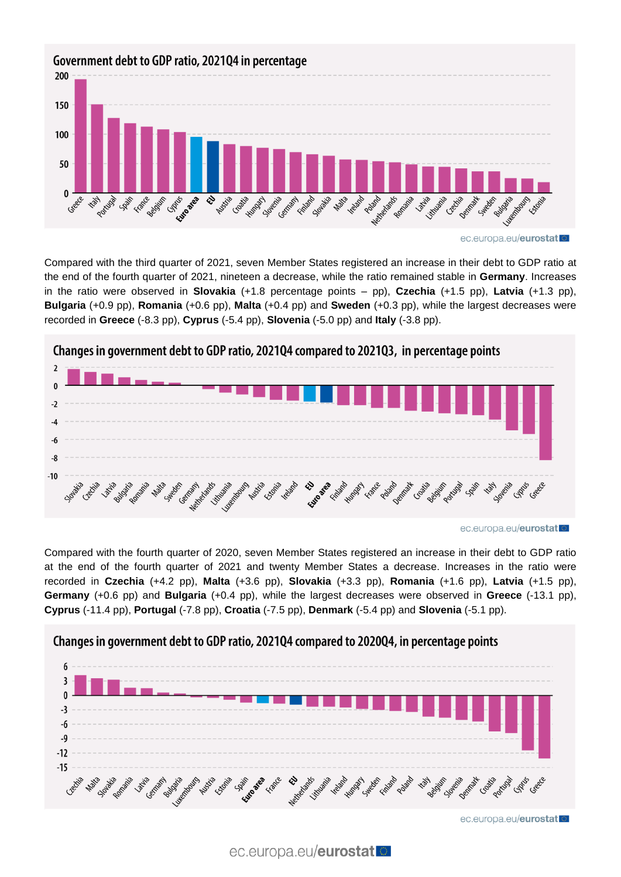

Compared with the third quarter of 2021, seven Member States registered an increase in their debt to GDP ratio at the end of the fourth quarter of 2021, nineteen a decrease, while the ratio remained stable in **Germany**. Increases in the ratio were observed in **Slovakia** (+1.8 percentage points – pp), **Czechia** (+1.5 pp), **Latvia** (+1.3 pp), **Bulgaria** (+0.9 pp), **Romania** (+0.6 pp), **Malta** (+0.4 pp) and **Sweden** (+0.3 pp), while the largest decreases were recorded in **Greece** (-8.3 pp), **Cyprus** (-5.4 pp), **Slovenia** (-5.0 pp) and **Italy** (-3.8 pp).



ec.europa.eu/eurostat

Compared with the fourth quarter of 2020, seven Member States registered an increase in their debt to GDP ratio at the end of the fourth quarter of 2021 and twenty Member States a decrease. Increases in the ratio were recorded in **Czechia** (+4.2 pp), **Malta** (+3.6 pp), **Slovakia** (+3.3 pp), **Romania** (+1.6 pp), **Latvia** (+1.5 pp), **Germany** (+0.6 pp) and **Bulgaria** (+0.4 pp), while the largest decreases were observed in **Greece** (-13.1 pp), **Cyprus** (-11.4 pp), **Portugal** (-7.8 pp), **Croatia** (-7.5 pp), **Denmark** (-5.4 pp) and **Slovenia** (-5.1 pp).

## Changes in government debt to GDP ratio, 2021Q4 compared to 2020Q4, in percentage points



ec.europa.eu/eurostat

ec.europa.eu/eurostat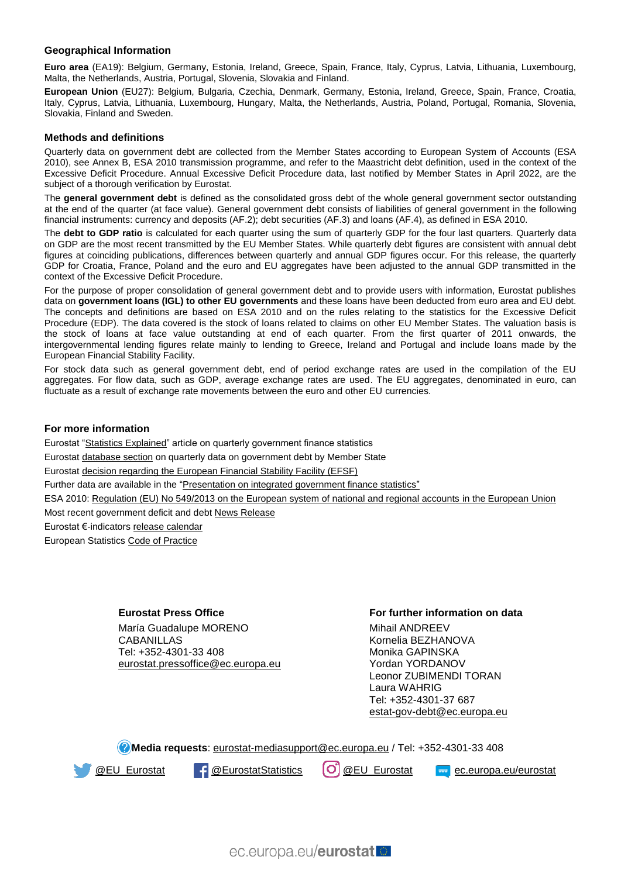#### **Geographical Information**

**Euro area** (EA19): Belgium, Germany, Estonia, Ireland, Greece, Spain, France, Italy, Cyprus, Latvia, Lithuania, Luxembourg, Malta, the Netherlands, Austria, Portugal, Slovenia, Slovakia and Finland.

**European Union** (EU27): Belgium, Bulgaria, Czechia, Denmark, Germany, Estonia, Ireland, Greece, Spain, France, Croatia, Italy, Cyprus, Latvia, Lithuania, Luxembourg, Hungary, Malta, the Netherlands, Austria, Poland, Portugal, Romania, Slovenia, Slovakia, Finland and Sweden.

#### **Methods and definitions**

Quarterly data on government debt are collected from the Member States according to European System of Accounts (ESA 2010), see Annex B, ESA 2010 transmission programme, and refer to the Maastricht debt definition, used in the context of the Excessive Deficit Procedure. Annual Excessive Deficit Procedure data, last notified by Member States in April 2022, are the subject of a thorough verification by Eurostat.

The **general government debt** is defined as the consolidated gross debt of the whole general government sector outstanding at the end of the quarter (at face value). General government debt consists of liabilities of general government in the following financial instruments: currency and deposits (AF.2); debt securities (AF.3) and loans (AF.4), as defined in ESA 2010.

The **debt to GDP ratio** is calculated for each quarter using the sum of quarterly GDP for the four last quarters. Quarterly data on GDP are the most recent transmitted by the EU Member States. While quarterly debt figures are consistent with annual debt figures at coinciding publications, differences between quarterly and annual GDP figures occur. For this release, the quarterly GDP for Croatia, France, Poland and the euro and EU aggregates have been adjusted to the annual GDP transmitted in the context of the Excessive Deficit Procedure.

For the purpose of proper consolidation of general government debt and to provide users with information, Eurostat publishes data on **government loans (IGL) to other EU governments** and these loans have been deducted from euro area and EU debt. The concepts and definitions are based on ESA 2010 and on the rules relating to the statistics for the Excessive Deficit Procedure (EDP). The data covered is the stock of loans related to claims on other EU Member States. The valuation basis is the stock of loans at face value outstanding at end of each quarter. From the first quarter of 2011 onwards, the intergovernmental lending figures relate mainly to lending to Greece, Ireland and Portugal and include loans made by the European Financial Stability Facility.

For stock data such as general government debt, end of period exchange rates are used in the compilation of the EU aggregates. For flow data, such as GDP, average exchange rates are used. The EU aggregates, denominated in euro, can fluctuate as a result of exchange rate movements between the euro and other EU currencies.

#### **For more information**

Eurostat ["Statistics Explained"](https://ec.europa.eu/eurostat/statistics-explained/index.php/Government_finance_statistics_-_quarterly_data) article on quarterly government finance statistics Eurosta[t database section](https://ec.europa.eu/eurostat/web/government-finance-statistics/data/database) on quarterly data on government debt by Member State Eurosta[t decision regarding the European Financial Stability Facility \(EFSF\)](https://ec.europa.eu/eurostat/web/products-press-releases/-/2-27012011-AP) Further data are available in the "Presentation [on integrated government finance statistics"](https://ec.europa.eu/eurostat/statistics-explained/index.php/Integrated_government_finance_statistics_presentation) ESA 2010: [Regulation \(EU\) No 549/2013 on the European system of national and regional accounts](https://eur-lex.europa.eu/legal-content/EN/TXT/?qid=1405675686774&uri=CELEX:32013R0549) in the European Union Most recent government deficit and deb[t News Release](https://ec.europa.eu/eurostat/web/products-euro-indicators/-/2-21012022-ap) Eurostat €-indicator[s release calendar](https://ec.europa.eu/eurostat/news/release-calendar) European Statistic[s Code of Practice](https://ec.europa.eu/eurostat/web/products-catalogues/-/KS-02-18-142)

#### **Eurostat Press Office**

María Guadalupe MORENO CABANILLAS Tel: +352-4301-33 408 [eurostat.pressoffice@ec.europa.eu](mailto:eurostat.pressoffice@ec.europa.eu)

#### **For further information on data**

Mihail ANDREEV Kornelia BEZHANOVA Monika GAPINSKA Yordan YORDANOV Leonor ZUBIMENDI TORAN Laura WAHRIG Tel: +352-4301-37 687 [estat-gov-debt@ec.europa.eu](mailto:estat-gov-debt@ec.europa.eu)

**Media requests**: [eurostat-mediasupport@ec.europa.eu](mailto:eurostat-mediasupport@ec.europa.eu) / Tel: +352-4301-33 408



<sup>6</sup> [@EU\\_Eurostat](https://www.instagram.com/eu_eurostat/) **4 @EurostatStatistics**  $\boxed{O}$  @EU\_Eurostat **example c.europa.eu/eurostat**